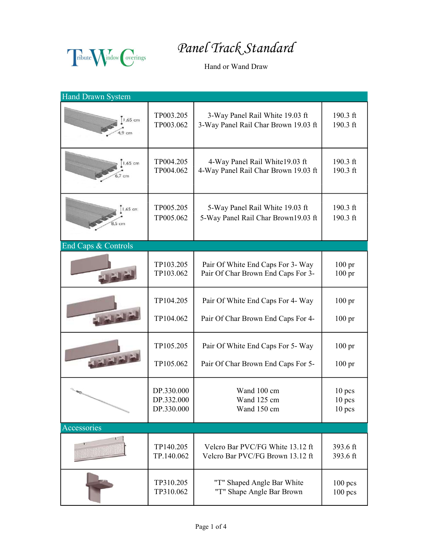Fibute Mindow Coverings

Panel Track Standard

Hand or Wand Draw

| <b>Hand Drawn System</b> |            |                                      |                   |
|--------------------------|------------|--------------------------------------|-------------------|
| 1,65 cm                  | TP003.205  | 3-Way Panel Rail White 19.03 ft      | $190.3$ ft        |
|                          | TP003.062  | 3-Way Panel Rail Char Brown 19.03 ft | 190.3 ft          |
| $1,65$ cm                | TP004.205  | 4-Way Panel Rail White19.03 ft       | $190.3$ ft        |
|                          | TP004.062  | 4-Way Panel Rail Char Brown 19.03 ft | 190.3 ft          |
| 1,65 cm                  | TP005.205  | 5-Way Panel Rail White 19.03 ft      | 190.3 ft          |
|                          | TP005.062  | 5-Way Panel Rail Char Brown19.03 ft  | 190.3 ft          |
| End Caps & Controls      |            |                                      |                   |
|                          | TP103.205  | Pair Of White End Caps For 3- Way    | 100 <sub>pr</sub> |
|                          | TP103.062  | Pair Of Char Brown End Caps For 3-   | $100 \text{ pr}$  |
|                          | TP104.205  | Pair Of White End Caps For 4- Way    | $100$ pr          |
|                          | TP104.062  | Pair Of Char Brown End Caps For 4-   | $100 \text{ pr}$  |
| لغاداته                  | TP105.205  | Pair Of White End Caps For 5- Way    | $100 \text{ pr}$  |
|                          | TP105.062  | Pair Of Char Brown End Caps For 5-   | $100 \text{ pr}$  |
|                          | DP.330.000 | Wand 100 cm                          | $10$ pcs          |
|                          | DP.332.000 | Wand 125 cm                          | $10$ pcs          |
|                          | DP.330.000 | Wand 150 cm                          | $10$ pcs          |
| Accessories              |            |                                      |                   |
|                          | TP140.205  | Velcro Bar PVC/FG White 13.12 ft     | 393.6 ft          |
|                          | TP.140.062 | Velcro Bar PVC/FG Brown 13.12 ft     | 393.6 ft          |
|                          | TP310.205  | "T" Shaped Angle Bar White           | $100$ pcs         |
|                          | TP310.062  | "T" Shape Angle Bar Brown            | $100$ pcs         |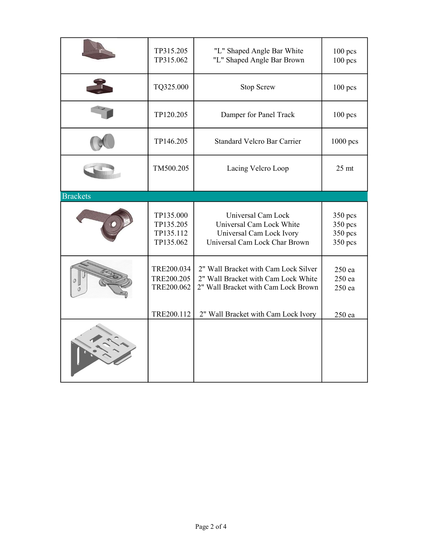|                 | TP315.205<br>TP315.062                               | "L" Shaped Angle Bar White<br>"L" Shaped Angle Bar Brown                                                                                                  | $100$ pcs<br>$100$ pcs                         |
|-----------------|------------------------------------------------------|-----------------------------------------------------------------------------------------------------------------------------------------------------------|------------------------------------------------|
|                 | TQ325.000                                            | <b>Stop Screw</b>                                                                                                                                         | $100$ pcs                                      |
|                 | TP120.205                                            | Damper for Panel Track                                                                                                                                    | $100$ pcs                                      |
|                 | TP146.205                                            | <b>Standard Velcro Bar Carrier</b>                                                                                                                        | 1000 pcs                                       |
|                 | TM500.205                                            | Lacing Velcro Loop                                                                                                                                        | $25$ mt                                        |
| <b>Brackets</b> |                                                      |                                                                                                                                                           |                                                |
|                 | TP135.000<br>TP135.205<br>TP135.112<br>TP135.062     | Universal Cam Lock<br>Universal Cam Lock White<br>Universal Cam Lock Ivory<br>Universal Cam Lock Char Brown                                               | $350$ pcs<br>$350$ pcs<br>350 pcs<br>$350$ pcs |
|                 | TRE200.034<br>TRE200.205<br>TRE200.062<br>TRE200.112 | 2" Wall Bracket with Cam Lock Silver<br>2" Wall Bracket with Cam Lock White<br>2" Wall Bracket with Cam Lock Brown<br>2" Wall Bracket with Cam Lock Ivory | 250 ea<br>250 ea<br>250 ea<br>$250$ ea         |
|                 |                                                      |                                                                                                                                                           |                                                |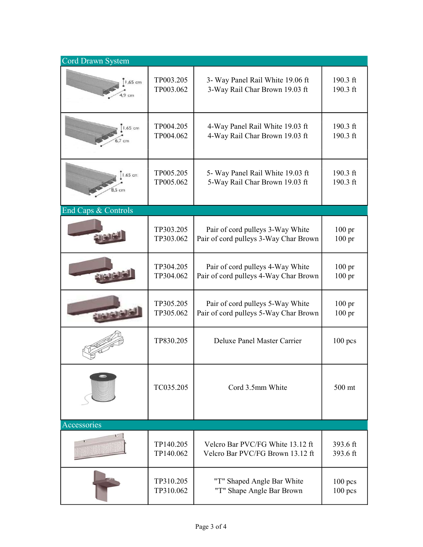| Cord Drawn System   |           |                                       |                  |
|---------------------|-----------|---------------------------------------|------------------|
| 1,65 cm             | TP003.205 | 3- Way Panel Rail White 19.06 ft      | 190.3 ft         |
|                     | TP003.062 | 3-Way Rail Char Brown 19.03 ft        | 190.3 ft         |
| ,65 cm              | TP004.205 | 4-Way Panel Rail White 19.03 ft       | $190.3$ ft       |
|                     | TP004.062 | 4-Way Rail Char Brown 19.03 ft        | 190.3 ft         |
| .65 cm              | TP005.205 | 5- Way Panel Rail White 19.03 ft      | $190.3$ ft       |
|                     | TP005.062 | 5-Way Rail Char Brown 19.03 ft        | 190.3 ft         |
| End Caps & Controls |           |                                       |                  |
|                     | TP303.205 | Pair of cord pulleys 3-Way White      | $100 \text{ pr}$ |
|                     | TP303.062 | Pair of cord pulleys 3-Way Char Brown | $100 \text{ pr}$ |
|                     | TP304.205 | Pair of cord pulleys 4-Way White      | $100 \text{ pr}$ |
|                     | TP304.062 | Pair of cord pulleys 4-Way Char Brown | $100 \text{ pr}$ |
|                     | TP305.205 | Pair of cord pulleys 5-Way White      | $100 \text{ pr}$ |
|                     | TP305.062 | Pair of cord pulleys 5-Way Char Brown | $100 \text{ pr}$ |
|                     | TP830.205 | Deluxe Panel Master Carrier           | $100$ pcs        |
|                     | TC035.205 | Cord 3.5mm White                      | 500 mt           |
| Accessories         |           |                                       |                  |
|                     | TP140.205 | Velcro Bar PVC/FG White 13.12 ft      | 393.6 ft         |
|                     | TP140.062 | Velcro Bar PVC/FG Brown 13.12 ft      | 393.6 ft         |
|                     | TP310.205 | "T" Shaped Angle Bar White            | $100$ pcs        |
|                     | TP310.062 | "T" Shape Angle Bar Brown             | $100$ pcs        |